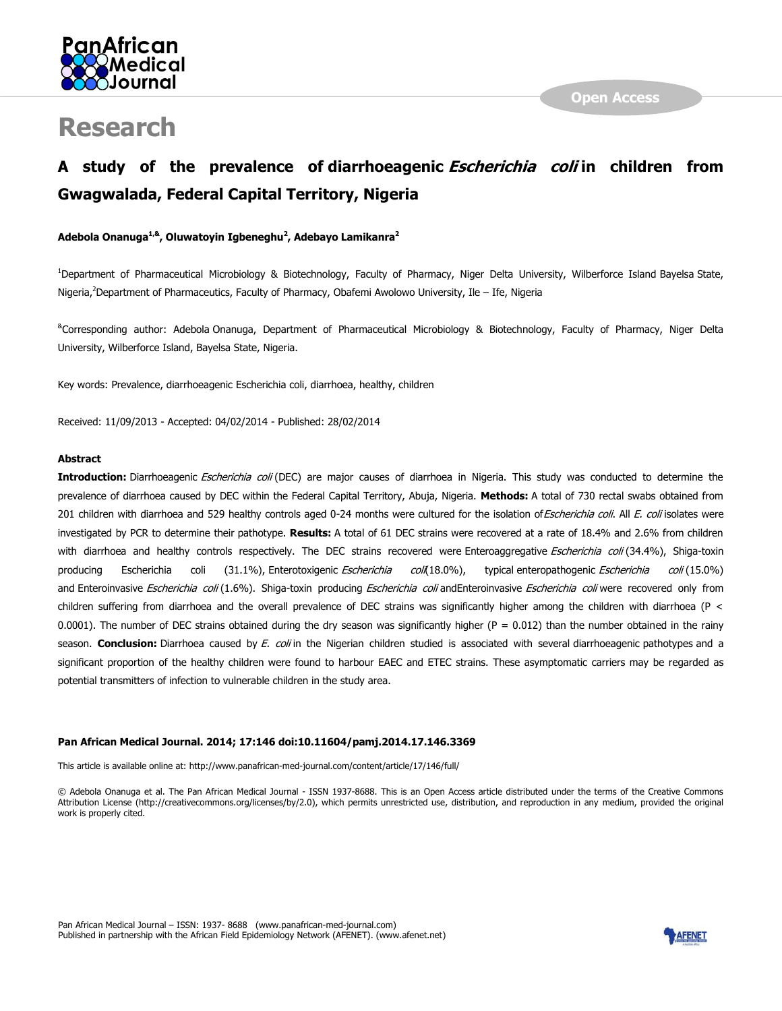

# **Research**

## **A study of the prevalence of diarrhoeagenic Escherichia coli in children from Gwagwalada, Federal Capital Territory, Nigeria**

#### **Adebola Onanuga1,& , Oluwatoyin Igbeneghu<sup>2</sup> , Adebayo Lamikanra<sup>2</sup>**

<sup>1</sup>Department of Pharmaceutical Microbiology & Biotechnology, Faculty of Pharmacy, Niger Delta University, Wilberforce Island Bayelsa State, Nigeria,<sup>2</sup>Department of Pharmaceutics, Faculty of Pharmacy, Obafemi Awolowo University, Ile – Ife, Nigeria

&Corresponding author: Adebola Onanuga, Department of Pharmaceutical Microbiology & Biotechnology, Faculty of Pharmacy, Niger Delta University, Wilberforce Island, Bayelsa State, Nigeria.

Key words: Prevalence, diarrhoeagenic Escherichia coli, diarrhoea, healthy, children

Received: 11/09/2013 - Accepted: 04/02/2014 - Published: 28/02/2014

#### **Abstract**

Introduction: Diarrhoeagenic *Escherichia coli* (DEC) are major causes of diarrhoea in Nigeria. This study was conducted to determine the prevalence of diarrhoea caused by DEC within the Federal Capital Territory, Abuja, Nigeria. **Methods:** A total of 730 rectal swabs obtained from 201 children with diarrhoea and 529 healthy controls aged 0-24 months were cultured for the isolation of Escherichia coli. All E. coli isolates were investigated by PCR to determine their pathotype. **Results:** A total of 61 DEC strains were recovered at a rate of 18.4% and 2.6% from children with diarrhoea and healthy controls respectively. The DEC strains recovered were Enteroaggregative Escherichia coli (34.4%), Shiga-toxin producing Escherichia coli (31.1%), Enterotoxigenic Escherichia coli(18.0%), typical enteropathogenic Escherichia coli (15.0%) and Enteroinvasive Escherichia coli (1.6%). Shiga-toxin producing Escherichia coli andEnteroinvasive Escherichia coli were recovered only from children suffering from diarrhoea and the overall prevalence of DEC strains was significantly higher among the children with diarrhoea (P < 0.0001). The number of DEC strains obtained during the dry season was significantly higher ( $P = 0.012$ ) than the number obtained in the rainy season. **Conclusion:** Diarrhoea caused by E. coli in the Nigerian children studied is associated with several diarrhoeagenic pathotypes and a significant proportion of the healthy children were found to harbour EAEC and ETEC strains. These asymptomatic carriers may be regarded as potential transmitters of infection to vulnerable children in the study area.

#### **Pan African Medical Journal. 2014; 17:146 doi:10.11604/pamj.2014.17.146.3369**

This article is available online at: http://www.panafrican-med-journal.com/content/article/17/146/full/

© Adebola Onanuga et al. The Pan African Medical Journal - ISSN 1937-8688. This is an Open Access article distributed under the terms of the Creative Commons Attribution License (http://creativecommons.org/licenses/by/2.0), which permits unrestricted use, distribution, and reproduction in any medium, provided the original work is properly cited.

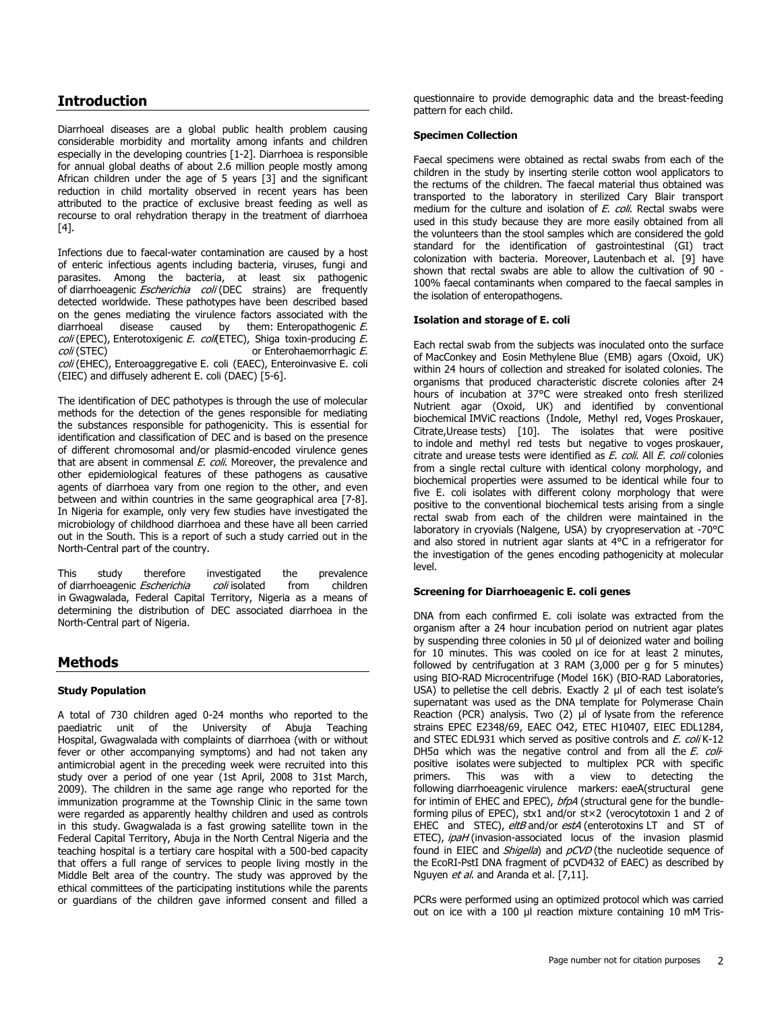## **Introduction**

Diarrhoeal diseases are a global public health problem causing considerable morbidity and mortality among infants and children especially in the developing countries [\[1-2\]](http://www.panafrican-med-journal.com/content/article/17/146/full/#ref1). Diarrhoea is responsible for annual global deaths of about 2.6 million people mostly among African children under the age of 5 years [\[3\]](http://www.panafrican-med-journal.com/content/article/17/146/full/#ref3) and the significant reduction in child mortality observed in recent years has been attributed to the practice of exclusive breast feeding as well as recourse to oral rehydration therapy in the treatment of diarrhoea [\[4\]](http://www.panafrican-med-journal.com/content/article/17/146/full/#ref4).

Infections due to faecal-water contamination are caused by a host of enteric infectious agents including bacteria, viruses, fungi and parasites. Among the bacteria, at least six pathogenic of diarrhoeagenic Escherichia coli (DEC strains) are frequently detected worldwide. These pathotypes have been described based on the genes mediating the virulence factors associated with the diarrhoeal disease caused by them: Enteropathogenic E. coli (EPEC), Enterotoxigenic E. coli (ETEC), Shiga toxin-producing E. coli (STEC) or Enterohaemorrhagic E. coli (EHEC), Enteroaggregative E. coli (EAEC), Enteroinvasive E. coli (EIEC) and diffusely adherent E. coli (DAEC) [\[5-6\]](http://www.panafrican-med-journal.com/content/article/17/146/full/#ref5).

The identification of DEC pathotypes is through the use of molecular methods for the detection of the genes responsible for mediating the substances responsible for pathogenicity. This is essential for identification and classification of DEC and is based on the presence of different chromosomal and/or plasmid-encoded virulence genes that are absent in commensal E. coli. Moreover, the prevalence and other epidemiological features of these pathogens as causative agents of diarrhoea vary from one region to the other, and even between and within countries in the same geographical area [\[7-8\]](http://www.panafrican-med-journal.com/content/article/17/146/full/#ref7). In Nigeria for example, only very few studies have investigated the microbiology of childhood diarrhoea and these have all been carried out in the South. This is a report of such a study carried out in the North-Central part of the country.

This study therefore investigated the prevalence of diarrhoeagenic *Escherichia coli* isolated from children in Gwagwalada, Federal Capital Territory, Nigeria as a means of determining the distribution of DEC associated diarrhoea in the North-Central part of Nigeria.

## **Methods**

#### **Study Population**

A total of 730 children aged 0-24 months who reported to the paediatric unit of the University of Abuja Teaching Hospital, Gwagwalada with complaints of diarrhoea (with or without fever or other accompanying symptoms) and had not taken any antimicrobial agent in the preceding week were recruited into this study over a period of one year (1st April, 2008 to 31st March, 2009). The children in the same age range who reported for the immunization programme at the Township Clinic in the same town were regarded as apparently healthy children and used as controls in this study. Gwagwalada is a fast growing satellite town in the Federal Capital Territory, Abuja in the North Central Nigeria and the teaching hospital is a tertiary care hospital with a 500-bed capacity that offers a full range of services to people living mostly in the Middle Belt area of the country. The study was approved by the ethical committees of the participating institutions while the parents or guardians of the children gave informed consent and filled a

questionnaire to provide demographic data and the breast-feeding pattern for each child.

#### **Specimen Collection**

Faecal specimens were obtained as rectal swabs from each of the children in the study by inserting sterile cotton wool applicators to the rectums of the children. The faecal material thus obtained was transported to the laboratory in sterilized Cary Blair transport medium for the culture and isolation of *E. coli*. Rectal swabs were used in this study because they are more easily obtained from all the volunteers than the stool samples which are considered the gold standard for the identification of gastrointestinal (GI) tract colonization with bacteria. Moreover, Lautenbach et al. [\[9\]](http://www.panafrican-med-journal.com/content/article/17/146/full/#ref9) have shown that rectal swabs are able to allow the cultivation of 90 - 100% faecal contaminants when compared to the faecal samples in the isolation of enteropathogens.

#### **Isolation and storage of E. coli**

Each rectal swab from the subjects was inoculated onto the surface of MacConkey and Eosin Methylene Blue (EMB) agars (Oxoid, UK) within 24 hours of collection and streaked for isolated colonies. The organisms that produced characteristic discrete colonies after 24 hours of incubation at 37°C were streaked onto fresh sterilized Nutrient agar (Oxoid, UK) and identified by conventional biochemical IMViC reactions (Indole, Methyl red, Voges Proskauer, Citrate,Urease tests) [\[10\]](http://www.panafrican-med-journal.com/content/article/17/146/full/#ref10). The isolates that were positive to indole and methyl red tests but negative to voges proskauer, citrate and urease tests were identified as E. coli. All E. coli colonies from a single rectal culture with identical colony morphology, and biochemical properties were assumed to be identical while four to five E. coli isolates with different colony morphology that were positive to the conventional biochemical tests arising from a single rectal swab from each of the children were maintained in the laboratory in cryovials (Nalgene, USA) by cryopreservation at -70°C and also stored in nutrient agar slants at 4°C in a refrigerator for the investigation of the genes encoding pathogenicity at molecular level.

#### **Screening for Diarrhoeagenic E. coli genes**

DNA from each confirmed E. coli isolate was extracted from the organism after a 24 hour incubation period on nutrient agar plates by suspending three colonies in 50 µl of deionized water and boiling for 10 minutes. This was cooled on ice for at least 2 minutes, followed by centrifugation at 3 RAM (3,000 per g for 5 minutes) using BIO-RAD Microcentrifuge (Model 16K) (BIO-RAD Laboratories, USA) to pelletise the cell debris. Exactly 2 µl of each test isolate's supernatant was used as the DNA template for Polymerase Chain Reaction (PCR) analysis. Two (2) µl of lysate from the reference strains EPEC E2348/69, EAEC O42, ETEC H10407, EIEC EDL1284, and STEC EDL931 which served as positive controls and E. coli K-12 DH5a which was the negative control and from all the  $E$ . colipositive isolates were subjected to multiplex PCR with specific primers. This was with a view to detecting the following diarrhoeagenic virulence markers: eaeA(structural gene for intimin of EHEC and EPEC), bfpA (structural gene for the bundleforming pilus of EPEC), stx1 and/or st×2 (verocytotoxin 1 and 2 of EHEC and STEC), eltB and/or estA (enterotoxins LT and ST of ETEC), *ipaH* (invasion-associated locus of the invasion plasmid found in EIEC and Shigella) and pCVD (the nucleotide sequence of the EcoRI-PstI DNA fragment of pCVD432 of EAEC) as described by Nguyen et al. and Aranda et al. [\[7,](http://www.panafrican-med-journal.com/content/article/17/146/full/#ref7)[11\]](http://www.panafrican-med-journal.com/content/article/17/146/full/#ref11).

PCRs were performed using an optimized protocol which was carried out on ice with a 100 µl reaction mixture containing 10 mM Tris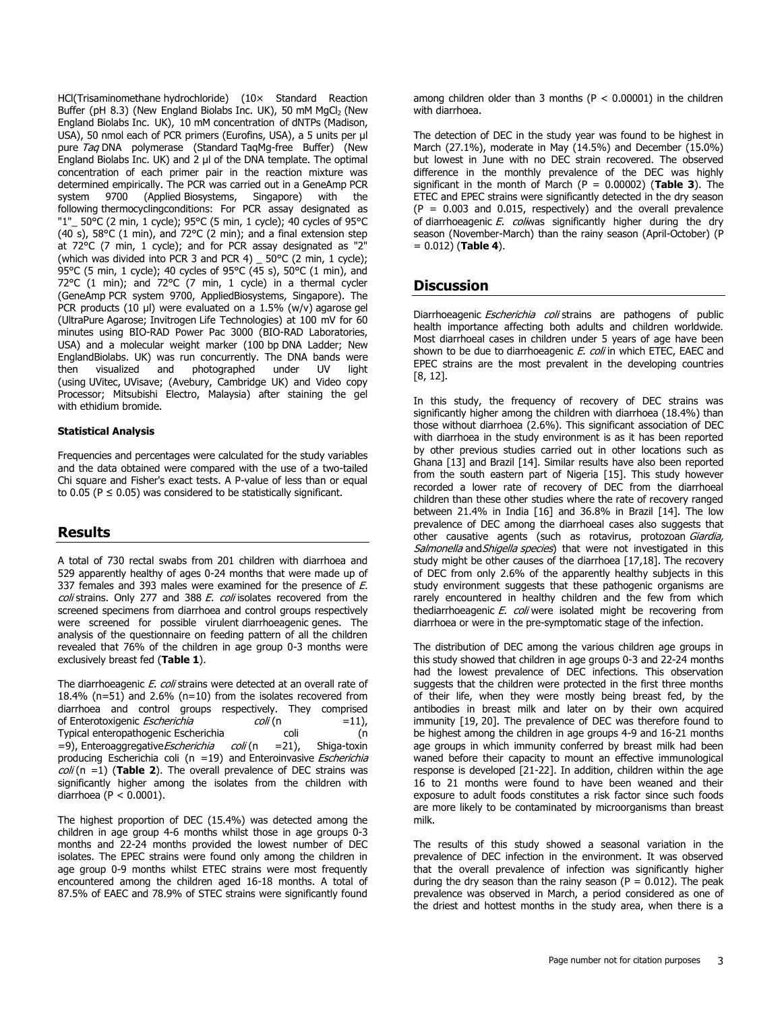HCl(Trisaminomethane hydrochloride) (10× Standard Reaction Buffer (pH 8.3) (New England Biolabs Inc. UK), 50 mM MgCl<sub>2</sub> (New England Biolabs Inc. UK), 10 mM concentration of dNTPs (Madison, USA), 50 nmol each of PCR primers (Eurofins, USA), a 5 units per µl pure Taq DNA polymerase (Standard TaqMg-free Buffer) (New England Biolabs Inc. UK) and 2 µl of the DNA template. The optimal concentration of each primer pair in the reaction mixture was determined empirically. The PCR was carried out in a GeneAmp PCR system 9700 (Applied Biosystems, Singapore) with the following thermocyclingconditions: For PCR assay designated as "1"\_ 50°C (2 min, 1 cycle); 95°C (5 min, 1 cycle); 40 cycles of 95°C (40 s), 58°C (1 min), and 72°C (2 min); and a final extension step at 72°C (7 min, 1 cycle); and for PCR assay designated as "2" (which was divided into PCR 3 and PCR 4) \_ 50°C (2 min, 1 cycle); 95°C (5 min, 1 cycle); 40 cycles of 95°C (45 s), 50°C (1 min), and 72°C (1 min); and 72°C (7 min, 1 cycle) in a thermal cycler (GeneAmp PCR system 9700, AppliedBiosystems, Singapore). The PCR products (10 µl) were evaluated on a  $1.5\%$  (w/v) agarose gel (UltraPure Agarose; Invitrogen Life Technologies) at 100 mV for 60 minutes using BIO-RAD Power Pac 3000 (BIO-RAD Laboratories, USA) and a molecular weight marker (100 bp DNA Ladder; New EnglandBiolabs. UK) was run concurrently. The DNA bands were then visualized and photographed under UV light (using UVitec, UVisave; (Avebury, Cambridge UK) and Video copy Processor; Mitsubishi Electro, Malaysia) after staining the gel with ethidium bromide.

#### **Statistical Analysis**

Frequencies and percentages were calculated for the study variables and the data obtained were compared with the use of a two-tailed Chi square and Fisher's exact tests. A P-value of less than or equal to 0.05 ( $P \le 0.05$ ) was considered to be statistically significant.

### **Results**

A total of 730 rectal swabs from 201 children with diarrhoea and 529 apparently healthy of ages 0-24 months that were made up of 337 females and 393 males were examined for the presence of E. coli strains. Only 277 and 388 E. coli isolates recovered from the screened specimens from diarrhoea and control groups respectively were screened for possible virulent diarrhoeagenic genes. The analysis of the questionnaire on feeding pattern of all the children revealed that 76% of the children in age group 0-3 months were exclusively breast fed (**[Table 1](javascript:void(0))**).

The diarrhoeagenic *E. coli* strains were detected at an overall rate of 18.4% (n=51) and 2.6% (n=10) from the isolates recovered from diarrhoea and control groups respectively. They comprised of Enterotoxigenic *Escherichia coli* (n =11), Typical enteropathogenic Escherichia coli (n =9), Enteroaggregative Escherichia coli (n =21), Shiga-toxin producing Escherichia coli ( $n = 19$ ) and Enteroinvasive *Escherichia* coli (n =1) (**[Table 2](javascript:void(0))**). The overall prevalence of DEC strains was significantly higher among the isolates from the children with diarrhoea ( $P < 0.0001$ ).

The highest proportion of DEC (15.4%) was detected among the children in age group 4-6 months whilst those in age groups 0-3 months and 22-24 months provided the lowest number of DEC isolates. The EPEC strains were found only among the children in age group 0-9 months whilst ETEC strains were most frequently encountered among the children aged 16-18 months. A total of 87.5% of EAEC and 78.9% of STEC strains were significantly found among children older than 3 months ( $P < 0.00001$ ) in the children with diarrhoea.

The detection of DEC in the study year was found to be highest in March (27.1%), moderate in May (14.5%) and December (15.0%) but lowest in June with no DEC strain recovered. The observed difference in the monthly prevalence of the DEC was highly significant in the month of March  $(P = 0.00002)$  (**[Table 3](javascript:void(0))**). The ETEC and EPEC strains were significantly detected in the dry season  $(P = 0.003$  and 0.015, respectively) and the overall prevalence of diarrhoeagenic  $E$ . coliwas significantly higher during the dry season (November-March) than the rainy season (April-October) (P = 0.012) (**[Table 4](javascript:void(0))**).

## **Discussion**

Diarrhoeagenic *Escherichia coli* strains are pathogens of public health importance affecting both adults and children worldwide. Most diarrhoeal cases in children under 5 years of age have been shown to be due to diarrhoeagenic E. coli in which ETEC, EAEC and EPEC strains are the most prevalent in the developing countries [\[8,](http://www.panafrican-med-journal.com/content/article/17/146/full/#ref8) [12\]](http://www.panafrican-med-journal.com/content/article/17/146/full/#ref_12).

In this study, the frequency of recovery of DEC strains was significantly higher among the children with diarrhoea (18.4%) than those without diarrhoea (2.6%). This significant association of DEC with diarrhoea in the study environment is as it has been reported by other previous studies carried out in other locations such as Ghana [\[13\]](http://www.panafrican-med-journal.com/content/article/17/146/full/#ref13) and Brazil [\[14\]](http://www.panafrican-med-journal.com/content/article/17/146/full/#ref14). Similar results have also been reported from the south eastern part of Nigeria [\[15\]](http://www.panafrican-med-journal.com/content/article/17/146/full/#ref15). This study however recorded a lower rate of recovery of DEC from the diarrhoeal children than these other studies where the rate of recovery ranged between 21.4% in India [\[16\]](http://www.panafrican-med-journal.com/content/article/17/146/full/#ref16) and 36.8% in Brazil [\[14\]](http://www.panafrican-med-journal.com/content/article/17/146/full/#ref14). The low prevalence of DEC among the diarrhoeal cases also suggests that other causative agents (such as rotavirus, protozoan Giardia, Salmonella and Shigella species) that were not investigated in this study might be other causes of the diarrhoea [\[17](http://www.panafrican-med-journal.com/content/article/17/146/full/#ref17)[,18\]](http://www.panafrican-med-journal.com/content/article/17/146/full/#ref18). The recovery of DEC from only 2.6% of the apparently healthy subjects in this study environment suggests that these pathogenic organisms are rarely encountered in healthy children and the few from which thediarrhoeagenic E. coli were isolated might be recovering from diarrhoea or were in the pre-symptomatic stage of the infection.

The distribution of DEC among the various children age groups in this study showed that children in age groups 0-3 and 22-24 months had the lowest prevalence of DEC infections. This observation suggests that the children were protected in the first three months of their life, when they were mostly being breast fed, by the antibodies in breast milk and later on by their own acquired immunity [\[19,](http://www.panafrican-med-journal.com/content/article/17/146/full/#ref19) [20\]](http://www.panafrican-med-journal.com/content/article/17/146/full/#ref20). The prevalence of DEC was therefore found to be highest among the children in age groups 4-9 and 16-21 months age groups in which immunity conferred by breast milk had been waned before their capacity to mount an effective immunological response is developed [\[21-22\]](http://www.panafrican-med-journal.com/content/article/17/146/full/#ref21). In addition, children within the age 16 to 21 months were found to have been weaned and their exposure to adult foods constitutes a risk factor since such foods are more likely to be contaminated by microorganisms than breast milk.

The results of this study showed a seasonal variation in the prevalence of DEC infection in the environment. It was observed that the overall prevalence of infection was significantly higher during the dry season than the rainy season ( $P = 0.012$ ). The peak prevalence was observed in March, a period considered as one of the driest and hottest months in the study area, when there is a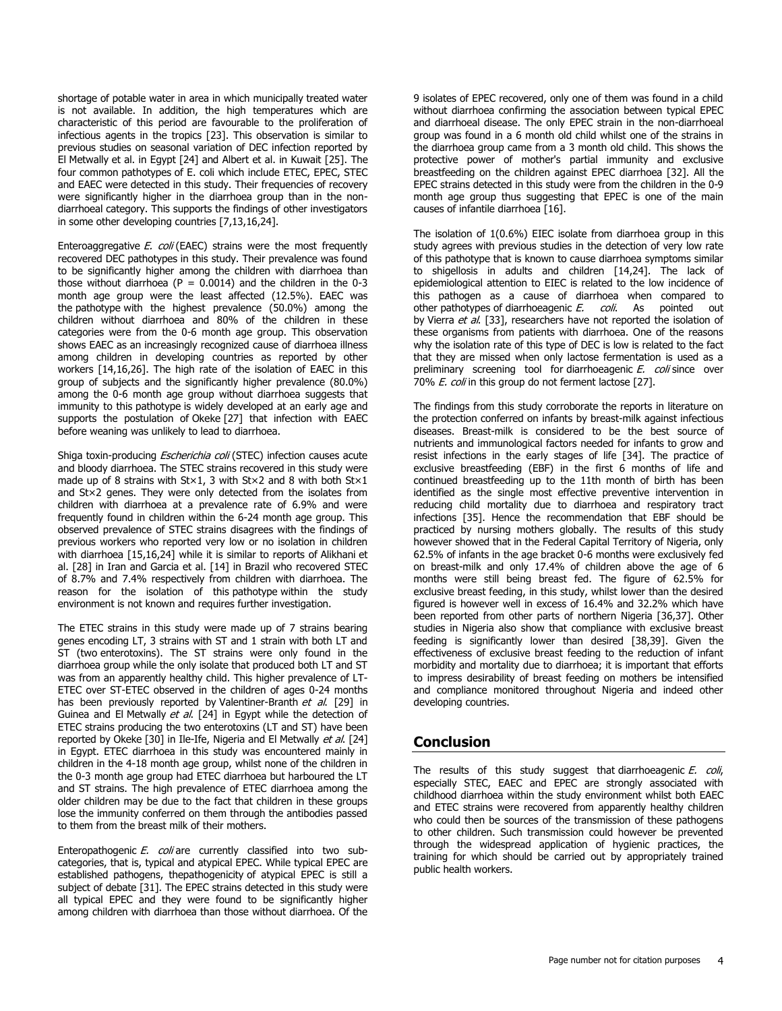shortage of potable water in area in which municipally treated water is not available. In addition, the high temperatures which are characteristic of this period are favourable to the proliferation of infectious agents in the tropics [\[23\]](http://www.panafrican-med-journal.com/content/article/17/146/full/#ref23). This observation is similar to previous studies on seasonal variation of DEC infection reported by El Metwally et al. in Egypt [\[24\]](http://www.panafrican-med-journal.com/content/article/17/146/full/#ref24) and Albert et al. in Kuwait [\[25\]](http://www.panafrican-med-journal.com/content/article/17/146/full/#ref25). The four common pathotypes of E. coli which include ETEC, EPEC, STEC and EAEC were detected in this study. Their frequencies of recovery were significantly higher in the diarrhoea group than in the nondiarrhoeal category. This supports the findings of other investigators in some other developing countries [\[7](http://www.panafrican-med-journal.com/content/article/17/146/full/#ref7)[,13,](http://www.panafrican-med-journal.com/content/article/17/146/full/#ref13)[16,](http://www.panafrican-med-journal.com/content/article/17/146/full/#ref16)[24\]](http://www.panafrican-med-journal.com/content/article/17/146/full/#ref24).

Enteroaggregative  $E.$  coli (EAEC) strains were the most frequently recovered DEC pathotypes in this study. Their prevalence was found to be significantly higher among the children with diarrhoea than those without diarrhoea ( $P = 0.0014$ ) and the children in the 0-3 month age group were the least affected (12.5%). EAEC was the pathotype with the highest prevalence (50.0%) among the children without diarrhoea and 80% of the children in these categories were from the 0-6 month age group. This observation shows EAEC as an increasingly recognized cause of diarrhoea illness among children in developing countries as reported by other workers [\[14](http://www.panafrican-med-journal.com/content/article/17/146/full/#ref14)[,16](http://www.panafrican-med-journal.com/content/article/17/146/full/#ref16)[,26\]](http://www.panafrican-med-journal.com/content/article/17/146/full/#ref26). The high rate of the isolation of EAEC in this group of subjects and the significantly higher prevalence (80.0%) among the 0-6 month age group without diarrhoea suggests that immunity to this pathotype is widely developed at an early age and supports the postulation of Okeke [\[27\]](http://www.panafrican-med-journal.com/content/article/17/146/full/#ref27) that infection with EAEC before weaning was unlikely to lead to diarrhoea.

Shiga toxin-producing *Escherichia coli* (STEC) infection causes acute and bloody diarrhoea. The STEC strains recovered in this study were made up of 8 strains with  $St \times 1$ , 3 with  $St \times 2$  and 8 with both  $St \times 1$ and St×2 genes. They were only detected from the isolates from children with diarrhoea at a prevalence rate of 6.9% and were frequently found in children within the 6-24 month age group. This observed prevalence of STEC strains disagrees with the findings of previous workers who reported very low or no isolation in children with diarrhoea [\[15](http://www.panafrican-med-journal.com/content/article/17/146/full/#ref15)[,16](http://www.panafrican-med-journal.com/content/article/17/146/full/#ref16)[,24\]](http://www.panafrican-med-journal.com/content/article/17/146/full/#ref24) while it is similar to reports of Alikhani et al. [\[28\]](http://www.panafrican-med-journal.com/content/article/17/146/full/#ref28) in Iran and Garcia et al. [\[14\]](http://www.panafrican-med-journal.com/content/article/17/146/full/#ref14) in Brazil who recovered STEC of 8.7% and 7.4% respectively from children with diarrhoea. The reason for the isolation of this pathotype within the study environment is not known and requires further investigation.

The ETEC strains in this study were made up of 7 strains bearing genes encoding LT, 3 strains with ST and 1 strain with both LT and ST (two enterotoxins). The ST strains were only found in the diarrhoea group while the only isolate that produced both LT and ST was from an apparently healthy child. This higher prevalence of LT-ETEC over ST-ETEC observed in the children of ages 0-24 months has been previously reported by Valentiner-Branth et al. [\[29\]](http://www.panafrican-med-journal.com/content/article/17/146/full/#ref29) in Guinea and El Metwally et al. [\[24\]](http://www.panafrican-med-journal.com/content/article/17/146/full/#ref24) in Egypt while the detection of ETEC strains producing the two enterotoxins (LT and ST) have been reported by Okeke [\[30\]](http://www.panafrican-med-journal.com/content/article/17/146/full/#ref30) in Ile-Ife, Nigeria and El Metwally et al. [\[24\]](http://www.panafrican-med-journal.com/content/article/17/146/full/#ref24) in Egypt. ETEC diarrhoea in this study was encountered mainly in children in the 4-18 month age group, whilst none of the children in the 0-3 month age group had ETEC diarrhoea but harboured the LT and ST strains. The high prevalence of ETEC diarrhoea among the older children may be due to the fact that children in these groups lose the immunity conferred on them through the antibodies passed to them from the breast milk of their mothers.

Enteropathogenic E. coli are currently classified into two subcategories, that is, typical and atypical EPEC. While typical EPEC are established pathogens, thepathogenicity of atypical EPEC is still a subject of debate [\[31\]](http://www.panafrican-med-journal.com/content/article/17/146/full/#ref31). The EPEC strains detected in this study were all typical EPEC and they were found to be significantly higher among children with diarrhoea than those without diarrhoea. Of the

9 isolates of EPEC recovered, only one of them was found in a child without diarrhoea confirming the association between typical EPEC and diarrhoeal disease. The only EPEC strain in the non-diarrhoeal group was found in a 6 month old child whilst one of the strains in the diarrhoea group came from a 3 month old child. This shows the protective power of mother's partial immunity and exclusive breastfeeding on the children against EPEC diarrhoea [\[32\]](http://www.panafrican-med-journal.com/content/article/17/146/full/#ref32). All the EPEC strains detected in this study were from the children in the 0-9 month age group thus suggesting that EPEC is one of the main causes of infantile diarrhoea [\[16\]](http://www.panafrican-med-journal.com/content/article/17/146/full/#ref16).

The isolation of 1(0.6%) EIEC isolate from diarrhoea group in this study agrees with previous studies in the detection of very low rate of this pathotype that is known to cause diarrhoea symptoms similar to shigellosis in adults and children [\[14](http://www.panafrican-med-journal.com/content/article/17/146/full/#ref14)[,24\]](http://www.panafrican-med-journal.com/content/article/17/146/full/#ref24). The lack of epidemiological attention to EIEC is related to the low incidence of this pathogen as a cause of diarrhoea when compared to other pathotypes of diarrhoeagenic E. coli. As pointed out by Vierra et al. [\[33\]](http://www.panafrican-med-journal.com/content/article/17/146/full/#ref33), researchers have not reported the isolation of these organisms from patients with diarrhoea. One of the reasons why the isolation rate of this type of DEC is low is related to the fact that they are missed when only lactose fermentation is used as a preliminary screening tool for diarrhoeagenic E. coli since over 70% E. coli in this group do not ferment lactose [\[27\]](http://www.panafrican-med-journal.com/content/article/17/146/full/#ref27).

The findings from this study corroborate the reports in literature on the protection conferred on infants by breast-milk against infectious diseases. Breast-milk is considered to be the best source of nutrients and immunological factors needed for infants to grow and resist infections in the early stages of life [\[34\]](http://www.panafrican-med-journal.com/content/article/17/146/full/#ref34). The practice of exclusive breastfeeding (EBF) in the first 6 months of life and continued breastfeeding up to the 11th month of birth has been identified as the single most effective preventive intervention in reducing child mortality due to diarrhoea and respiratory tract infections [\[35\]](http://www.panafrican-med-journal.com/content/article/17/146/full/#ref35). Hence the recommendation that EBF should be practiced by nursing mothers globally. The results of this study however showed that in the Federal Capital Territory of Nigeria, only 62.5% of infants in the age bracket 0-6 months were exclusively fed on breast-milk and only 17.4% of children above the age of 6 months were still being breast fed. The figure of 62.5% for exclusive breast feeding, in this study, whilst lower than the desired figured is however well in excess of 16.4% and 32.2% which have been reported from other parts of northern Nigeria [\[36,](http://www.panafrican-med-journal.com/content/article/17/146/full/#ref36)[37\]](http://www.panafrican-med-journal.com/content/article/17/146/full/#ref37). Other studies in Nigeria also show that compliance with exclusive breast feeding is significantly lower than desired [\[38,](http://www.panafrican-med-journal.com/content/article/17/146/full/#ref38)[39\]](http://www.panafrican-med-journal.com/content/article/17/146/full/#ref39). Given the effectiveness of exclusive breast feeding to the reduction of infant morbidity and mortality due to diarrhoea; it is important that efforts to impress desirability of breast feeding on mothers be intensified and compliance monitored throughout Nigeria and indeed other developing countries.

## **Conclusion**

The results of this study suggest that diarrhoeagenic E. coli, especially STEC, EAEC and EPEC are strongly associated with childhood diarrhoea within the study environment whilst both EAEC and ETEC strains were recovered from apparently healthy children who could then be sources of the transmission of these pathogens to other children. Such transmission could however be prevented through the widespread application of hygienic practices, the training for which should be carried out by appropriately trained public health workers.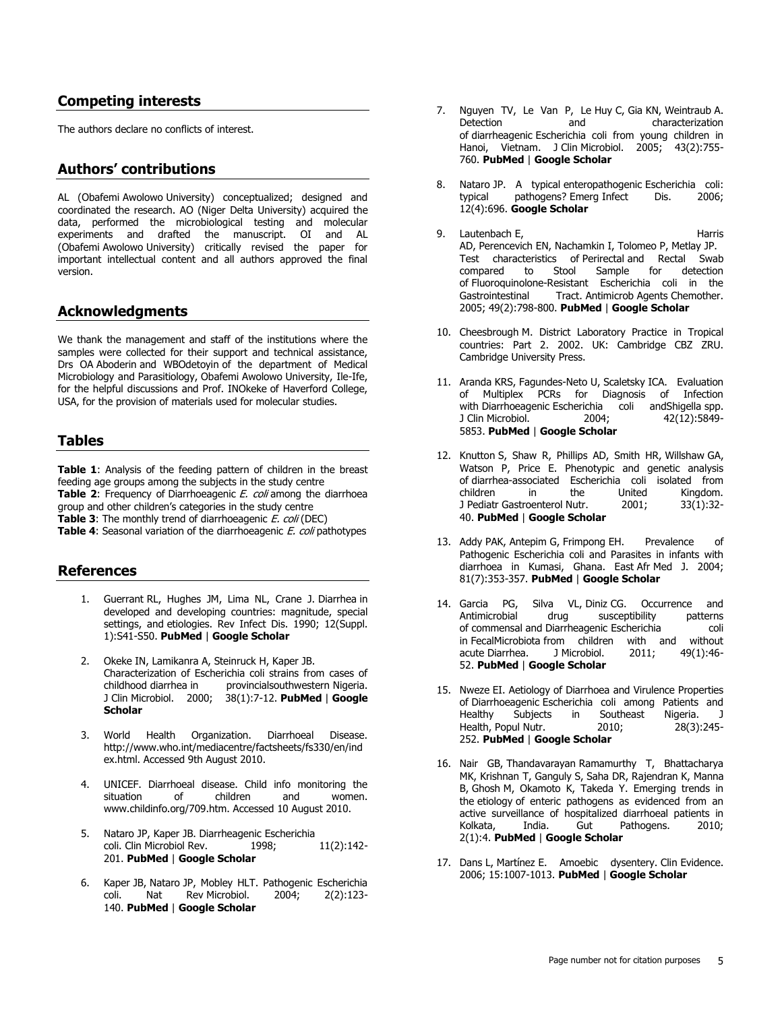## **Competing interests**

The authors declare no conflicts of interest.

## **Authors' contributions**

AL (Obafemi Awolowo University) conceptualized; designed and coordinated the research. AO (Niger Delta University) acquired the data, performed the microbiological testing and molecular experiments and drafted the manuscript. OI and AL (Obafemi Awolowo University) critically revised the paper for important intellectual content and all authors approved the final version.

## **Acknowledgments**

We thank the management and staff of the institutions where the samples were collected for their support and technical assistance, Drs OA Aboderin and WBOdetoyin of the department of Medical Microbiology and Parasitiology, Obafemi Awolowo University, Ile-Ife, for the helpful discussions and Prof. INOkeke of Haverford College, USA, for the provision of materials used for molecular studies.

## **Tables**

**[Table 1](javascript:void(0))**: Analysis of the feeding pattern of children in the breast feeding age groups among the subjects in the study centre **[Table 2](javascript:void(0)):** Frequency of Diarrhoeagenic *E. coli* among the diarrhoea group and other children's categories in the study centre **[Table 3](javascript:void(0))**: The monthly trend of diarrhoeagenic E. coli (DEC) **[Table 4](javascript:void(0)):** Seasonal variation of the diarrhoeagenic *E. coli* pathotypes

## **References**

- 1. Guerrant RL, Hughes JM, Lima NL, Crane J. Diarrhea in developed and developing countries: magnitude, special settings, and etiologies. Rev Infect Dis. 1990; 12(Suppl. 1):S41-S50. **[PubMed](http://www.ncbi.nlm.nih.gov/entrez/query.fcgi?db=PubMed&cmd=Search&doptcmdl=Citation&defaultField=Title+Word&term=Guerrant%20RL%5bauthor%5d+AND+Diarrhea+in+developed+and+developing+countries:+magnitude+special+settings+and+etiologies)** | **[Google Scholar](http://scholar.google.com/scholar?hl=en&q=+Diarrhea+in+developed+and+developing+countries:+magnitude+special+settings+and+etiologies)**
- 2. Okeke IN, Lamikanra A, Steinruck H, Kaper JB. Characterization of Escherichia coli strains from cases of childhood diarrhea in provincialsouthwestern Nigeria. J Clin Microbiol. 2000; 38(1):7-12. **[PubMed](http://www.ncbi.nlm.nih.gov/entrez/query.fcgi?db=PubMed&cmd=Search&doptcmdl=Citation&defaultField=Title+Word&term=Okeke%20IN%5bauthor%5d+AND+Characterization+of+Escherichia+coli+strains+from+cases+of+childhood+diarrhea+in+provincial+southwestern+Nigeria)** | **[Google](http://scholar.google.com/scholar?hl=en&q=+Characterization+of+Escherichia+coli+strains+from+cases+of+childhood+diarrhea+in+provincial+southwestern+Nigeria)  [Scholar](http://scholar.google.com/scholar?hl=en&q=+Characterization+of+Escherichia+coli+strains+from+cases+of+childhood+diarrhea+in+provincial+southwestern+Nigeria)**
- 3. World Health Organization. Diarrhoeal Disease. http://www.who.int/mediacentre/factsheets/fs330/en/ind ex.html. Accessed 9th August 2010.
- 4. UNICEF. Diarrhoeal disease. Child info monitoring the situation of children and women. www.childinfo.org/709.htm. Accessed 10 August 2010.
- 5. Nataro JP, Kaper JB. Diarrheagenic Escherichia coli. Clin Microbiol Rev. 1998; 11(2):142-201. **[PubMed](http://www.ncbi.nlm.nih.gov/entrez/query.fcgi?db=PubMed&cmd=Search&doptcmdl=Citation&defaultField=Title+Word&term=Nataro%20JP%5bauthor%5d+AND+Diarrheagenic+Escherichia+coli)** | **[Google Scholar](http://scholar.google.com/scholar?hl=en&q=+Diarrheagenic+Escherichia+coli)**
- 6. Kaper JB, Nataro JP, Mobley HLT. Pathogenic Escherichia coli. Nat Rev Microbiol. 2004; 2(2):123- 140. **[PubMed](http://www.ncbi.nlm.nih.gov/entrez/query.fcgi?db=PubMed&cmd=Search&doptcmdl=Citation&defaultField=Title+Word&term=Kaper%20JB%5bauthor%5d+AND+Pathogenic+Escherichia+coli)** | **[Google Scholar](http://scholar.google.com/scholar?hl=en&q=+Pathogenic+Escherichia+coli)**
- 7. Nguyen TV, Le Van P, Le Huy C, Gia KN, Weintraub A.<br>Detection and characterization and characterization of diarrheagenic Escherichia coli from young children in Hanoi, Vietnam. J Clin Microbiol. 2005; 43(2):755-760. **[PubMed](http://www.ncbi.nlm.nih.gov/entrez/query.fcgi?db=PubMed&cmd=Search&doptcmdl=Citation&defaultField=Title+Word&term=Nguyen%20TV%5bauthor%5d+AND+Detection+and+characterization+of+diarrheagenic+Escherichia+coli+from+young+children+in+Hanoi+Vietnam)** | **[Google Scholar](http://scholar.google.com/scholar?hl=en&q=+Detection+and+characterization+of+diarrheagenic+Escherichia+coli+from+young+children+in+Hanoi+Vietnam)**
- Nataro JP. A typical enteropathogenic Escherichia coli: typical pathogens? Emerg Infect Dis. 2006; 12(4):696. **[Google Scholar](http://scholar.google.com/scholar?hl=en&q=+A+typical+enteropathogenic+Escherichia+coli:+typical+pathogens?+Emerg+Infect+Dis)**
- 9. Lautenbach E, Harris AD, Perencevich EN, Nachamkin I, Tolomeo P, Metlay JP. Test characteristics of Perirectal and Rectal Swab<br>compared to Stool Sample for detection compared to Stool Sample for detection of Fluoroquinolone-Resistant Escherichia coli in the Gastrointestinal Tract. Antimicrob Agents Chemother. 2005; 49(2):798-800. **[PubMed](http://www.ncbi.nlm.nih.gov/entrez/query.fcgi?db=PubMed&cmd=Search&doptcmdl=Citation&defaultField=Title+Word&term=Lautenbach%20E%5bauthor%5d+AND+Test+characteristics+of+Perirectal+and+Rectal+Swab+compared+to+Stool+Sample+for+detection+of+Fluoroquinolone-Resistant+Escherichia+coli+in+the+Gastrointestinal+Tract)** | **[Google Scholar](http://scholar.google.com/scholar?hl=en&q=+Test+characteristics+of+Perirectal+and+Rectal+Swab+compared+to+Stool+Sample+for+detection+of+Fluoroquinolone-Resistant+Escherichia+coli+in+the+Gastrointestinal+Tract)**
- 10. Cheesbrough M. District Laboratory Practice in Tropical countries: Part 2. 2002. UK: Cambridge CBZ ZRU. Cambridge University Press.
- 11. Aranda KRS, Fagundes-Neto U, Scaletsky ICA. Evaluation of Multiplex PCRs for Diagnosis of Infection with Diarrhoeagenic Escherichia coli andShigella spp. J Clin Microbiol. 2004; 42(12):5849- 5853. **[PubMed](http://www.ncbi.nlm.nih.gov/entrez/query.fcgi?db=PubMed&cmd=Search&doptcmdl=Citation&defaultField=Title+Word&term=Aranda%20KRS%5bauthor%5d+AND+Evaluation+of+Multiplex+PCRs+for+Diagnosis+of+Infection+with+Diarrhoeagenic+Escherichia+coli+and+Shigella+spp)** | **[Google Scholar](http://scholar.google.com/scholar?hl=en&q=+Evaluation+of+Multiplex+PCRs+for+Diagnosis+of+Infection+with+Diarrhoeagenic+Escherichia+coli+and+Shigella+spp)**
- 12. Knutton S, Shaw R, Phillips AD, Smith HR, Willshaw GA, Watson P, Price E. Phenotypic and genetic analysis of diarrhea-associated Escherichia coli isolated from children in the United Kingdom. J Pediatr Gastroenterol Nutr. 2001; 33(1):32-40. **[PubMed](http://www.ncbi.nlm.nih.gov/entrez/query.fcgi?db=PubMed&cmd=Search&doptcmdl=Citation&defaultField=Title+Word&term=Knutton%20S%5bauthor%5d+AND+Phenotypic+and+genetic+analysis+of+diarrhea-associated+Escherichia+coli+isolated+from+children+in+the+United+Kingdom)** | **[Google Scholar](http://scholar.google.com/scholar?hl=en&q=+Phenotypic+and+genetic+analysis+of+diarrhea-associated+Escherichia+coli+isolated+from+children+in+the+United+Kingdom)**
- 13. Addy PAK, Antepim G, Frimpong EH. Prevalence of Pathogenic Escherichia coli and Parasites in infants with diarrhoea in Kumasi, Ghana. East Afr Med J. 2004; 81(7):353-357. **[PubMed](http://www.ncbi.nlm.nih.gov/entrez/query.fcgi?db=PubMed&cmd=Search&doptcmdl=Citation&defaultField=Title+Word&term=Addy%20PAK%5bauthor%5d+AND+Prevalence+of+Pathogenic+Escherichia+coli+and+Parasites+in+infants+with+diarrhoea+in+Kumasi+Ghana)** | **[Google Scholar](http://scholar.google.com/scholar?hl=en&q=+Prevalence+of+Pathogenic+Escherichia+coli+and+Parasites+in+infants+with+diarrhoea+in+Kumasi+Ghana)**
- 14. Garcia PG, Silva VL, Diniz CG. Occurrence and Antimicrobial drug susceptibility patterns of commensal and Diarrheagenic Escherichia coli in FecalMicrobiota from children with and without acute Diarrhea. J Microbiol. 2011; 49(1):46- 52. **[PubMed](http://www.ncbi.nlm.nih.gov/entrez/query.fcgi?db=PubMed&cmd=Search&doptcmdl=Citation&defaultField=Title+Word&term=Garcia%20PG%5bauthor%5d+AND+Occurrence+and+Antimicrobial+drug+susceptibility+patterns+of+commensal+and+Diarrheagenic+Escherichia+coli+in+Fecal+Microbiota+from+children+with+and+without+acute+Diarrhea)** | **[Google Scholar](http://scholar.google.com/scholar?hl=en&q=+Occurrence+and+Antimicrobial+drug+susceptibility+patterns+of+commensal+and+Diarrheagenic+Escherichia+coli+in+Fecal+Microbiota+from+children+with+and+without+acute+Diarrhea)**
- 15. Nweze EI. Aetiology of Diarrhoea and Virulence Properties of Diarrhoeagenic Escherichia coli among Patients and Healthy Subjects in Southeast Nigeria. J Health, Popul Nutr. 2010; 28(3):245- 252. **[PubMed](http://www.ncbi.nlm.nih.gov/entrez/query.fcgi?db=PubMed&cmd=Search&doptcmdl=Citation&defaultField=Title+Word&term=Nweze%20EI%5bauthor%5d+AND+Aetiology+of+Diarrhoea+and+Virulence+Properties+of+Diarrhoeagenic+Escherichia+coli+among+Patients+and+Healthy+Subjects+in+Southeast+Nigeria)** | **[Google Scholar](http://scholar.google.com/scholar?hl=en&q=+Aetiology+of+Diarrhoea+and+Virulence+Properties+of+Diarrhoeagenic+Escherichia+coli+among+Patients+and+Healthy+Subjects+in+Southeast+Nigeria)**
- 16. Nair GB, Thandavarayan Ramamurthy T, Bhattacharya MK, Krishnan T, Ganguly S, Saha DR, Rajendran K, Manna B, Ghosh M, Okamoto K, Takeda Y. Emerging trends in the etiology of enteric pathogens as evidenced from an active surveillance of hospitalized diarrhoeal patients in Kolkata, India. Gut Pathogens. 2010; 2(1):4. **[PubMed](http://www.ncbi.nlm.nih.gov/entrez/query.fcgi?db=PubMed&cmd=Search&doptcmdl=Citation&defaultField=Title+Word&term=Nair%20GB%5bauthor%5d+AND+Emerging+trends+in+the+etiology+of+enteric+pathogens+as+evidenced+from+an+active+surveillance+of+hospitalized+diarrhoeal+patients+in+Kolkata+India)** | **[Google Scholar](http://scholar.google.com/scholar?hl=en&q=+Emerging+trends+in+the+etiology+of+enteric+pathogens+as+evidenced+from+an+active+surveillance+of+hospitalized+diarrhoeal+patients+in+Kolkata+India)**
- 17. Dans L, Martínez E. Amoebic dysentery. Clin Evidence. 2006; 15:1007-1013. **[PubMed](http://www.ncbi.nlm.nih.gov/entrez/query.fcgi?db=PubMed&cmd=Search&doptcmdl=Citation&defaultField=Title+Word&term=Dans%20L%5bauthor%5d+AND+Amoebic+dysentery)** | **[Google Scholar](http://scholar.google.com/scholar?hl=en&q=+Amoebic+dysentery)**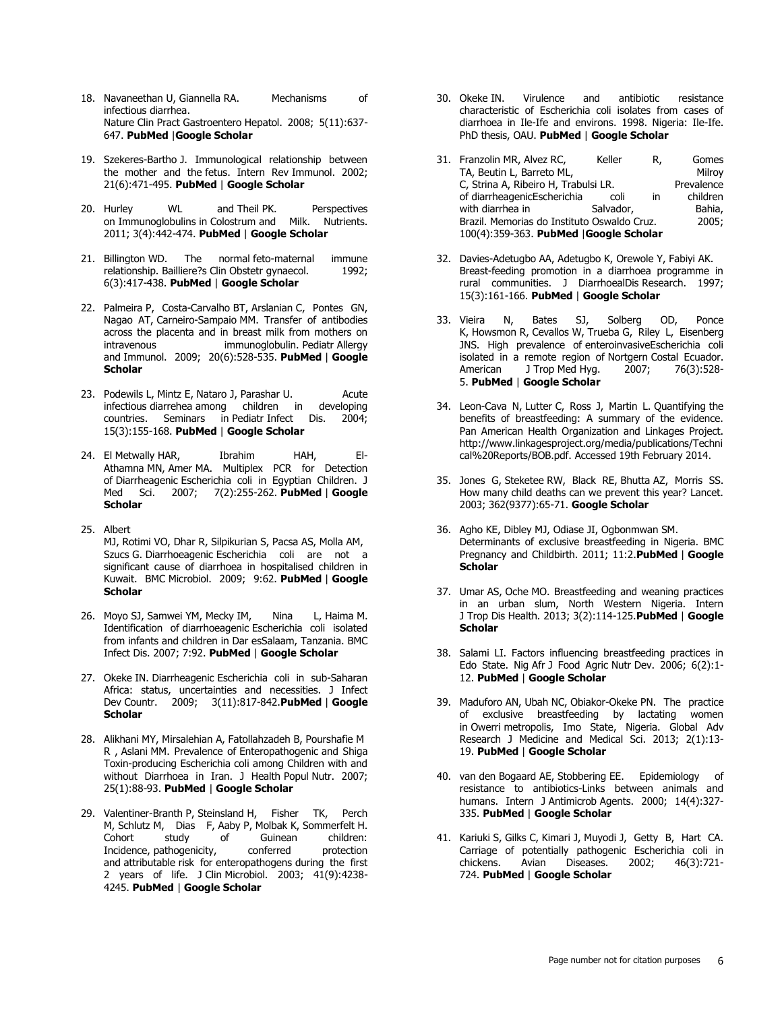- 18. Navaneethan U, Giannella RA. Mechanisms of infectious diarrhea. Nature Clin Pract Gastroentero Hepatol. 2008; 5(11):637- 647. **[PubMed](http://www.ncbi.nlm.nih.gov/entrez/query.fcgi?db=PubMed&cmd=Search&doptcmdl=Citation&defaultField=Title+Word&term=Navaneethan%20U%5bauthor%5d+AND+Mechanisms+of+infectious+diarrhea)** |**[Google Scholar](http://scholar.google.com/scholar?hl=en&q=+Mechanisms+of+infectious+diarrhea)**
- 19. Szekeres-Bartho J. Immunological relationship between the mother and the fetus. Intern Rev Immunol. 2002; 21(6):471-495. **[PubMed](http://www.ncbi.nlm.nih.gov/entrez/query.fcgi?db=PubMed&cmd=Search&doptcmdl=Citation&defaultField=Title+Word&term=Szekeres-Bartho%20J%5bauthor%5d+AND+Immunological+relationship+between+the+mother+and+the+fetus)** | **[Google Scholar](http://scholar.google.com/scholar?hl=en&q=+Immunological+relationship+between+the+mother+and+the+fetus)**
- 20. Hurley WL and Theil PK. Perspectives on Immunoglobulins in Colostrum and Milk. Nutrients. 2011; 3(4):442-474. **[PubMed](http://www.ncbi.nlm.nih.gov/entrez/query.fcgi?db=PubMed&cmd=Search&doptcmdl=Citation&defaultField=Title+Word&term=Hurley%20WL%20and%20Theil%20PK%5bauthor%5d+AND+Perspectives+on+Immunoglobulins+in+Colostrum+and+Milk)** | **[Google Scholar](http://scholar.google.com/scholar?hl=en&q=+Perspectives+on+Immunoglobulins+in+Colostrum+and+Milk)**
- 21. Billington WD. The normal feto-maternal immune relationship. Bailliere?s Clin Obstetr gynaecol. 1992; 6(3):417-438. **[PubMed](http://www.ncbi.nlm.nih.gov/entrez/query.fcgi?db=PubMed&cmd=Search&doptcmdl=Citation&defaultField=Title+Word&term=Billington%20WD%5bauthor%5d+AND+The+normal+feto-maternal+immune+relationship)** | **[Google Scholar](http://scholar.google.com/scholar?hl=en&q=+The+normal+feto-maternal+immune+relationship)**
- 22. Palmeira P, Costa-Carvalho BT, Arslanian C, Pontes GN, Nagao AT, Carneiro-Sampaio MM. Transfer of antibodies across the placenta and in breast milk from mothers on intravenous immunoglobulin. Pediatr Allergy immunoglobulin. Pediatr Allergy and Immunol. 2009; 20(6):528-535. **[PubMed](http://www.ncbi.nlm.nih.gov/entrez/query.fcgi?db=PubMed&cmd=Search&doptcmdl=Citation&defaultField=Title+Word&term=Palmeira%20P%5bauthor%5d+AND+Transfer+of+antibodies+across+the+placenta+and+in+breast+milk+from+mothers+on+intravenous+immunoglobulin)** | **[Google](http://scholar.google.com/scholar?hl=en&q=+Transfer+of+antibodies+across+the+placenta+and+in+breast+milk+from+mothers+on+intravenous+immunoglobulin)  [Scholar](http://scholar.google.com/scholar?hl=en&q=+Transfer+of+antibodies+across+the+placenta+and+in+breast+milk+from+mothers+on+intravenous+immunoglobulin)**
- 23. Podewils L, Mintz E, Nataro J, Parashar U. Acute infectious diarrehea among children in developing countries. Seminars in Pediatr Infect Dis. 2004; 15(3):155-168. **[PubMed](http://www.ncbi.nlm.nih.gov/entrez/query.fcgi?db=PubMed&cmd=Search&doptcmdl=Citation&defaultField=Title+Word&term=Podewils%20L%5bauthor%5d+AND+Acute+infectious+diarrehea+among+children+in+developing+countries)** | **[Google Scholar](http://scholar.google.com/scholar?hl=en&q=+Acute+infectious+diarrehea+among+children+in+developing+countries)**
- 24. El Metwally HAR, Ibrahim HAH, El-Athamna MN, Amer MA. Multiplex PCR for Detection of Diarrheagenic Escherichia coli in Egyptian Children. J Med Sci. 2007; 7(2):255-262. **[PubMed](http://www.ncbi.nlm.nih.gov/entrez/query.fcgi?db=PubMed&cmd=Search&doptcmdl=Citation&defaultField=Title+Word&term=El%20Metwally%20HAR%5bauthor%5d+AND+Multiplex+PCR+for+Detection+of+Diarrheagenic+Escherichia+coli+in+Egyptian+Children)** | **[Google](http://scholar.google.com/scholar?hl=en&q=+Multiplex+PCR+for+Detection+of+Diarrheagenic+Escherichia+coli+in+Egyptian+Children)  [Scholar](http://scholar.google.com/scholar?hl=en&q=+Multiplex+PCR+for+Detection+of+Diarrheagenic+Escherichia+coli+in+Egyptian+Children)**
- 25. Albert MJ, Rotimi VO, Dhar R, Silpikurian S, Pacsa AS, Molla AM, Szucs G. Diarrhoeagenic Escherichia coli are not a significant cause of diarrhoea in hospitalised children in Kuwait. BMC Microbiol. 2009; 9:62. **[PubMed](http://www.ncbi.nlm.nih.gov/entrez/query.fcgi?db=PubMed&cmd=Search&doptcmdl=Citation&defaultField=Title+Word&term=Albert%20MJ%5bauthor%5d+AND+Diarrhoeagenic+Escherichia+coli+are+not+a+significant+cause+of+diarrhoea+in+hospitalised+children+in+Kuwait)** | **[Google](http://scholar.google.com/scholar?hl=en&q=+Diarrhoeagenic+Escherichia+coli+are+not+a+significant+cause+of+diarrhoea+in+hospitalised+children+in+Kuwait)  [Scholar](http://scholar.google.com/scholar?hl=en&q=+Diarrhoeagenic+Escherichia+coli+are+not+a+significant+cause+of+diarrhoea+in+hospitalised+children+in+Kuwait)**
- 26. Moyo SJ, Samwei YM, Mecky IM, Nina L, Haima M. Identification of diarrhoeagenic Escherichia coli isolated from infants and children in Dar esSalaam, Tanzania. BMC Infect Dis. 2007; 7:92. **[PubMed](http://www.ncbi.nlm.nih.gov/entrez/query.fcgi?db=PubMed&cmd=Search&doptcmdl=Citation&defaultField=Title+Word&term=Moyo%20SJ%5bauthor%5d+AND+Identification+of+diarrhoeagenic+Escherichia+coli+isolated+from+infants+and+children+in+Dar+es+Salaam+Tanzania)** | **[Google Scholar](http://scholar.google.com/scholar?hl=en&q=+Identification+of+diarrhoeagenic+Escherichia+coli+isolated+from+infants+and+children+in+Dar+es+Salaam+Tanzania)**
- 27. Okeke IN. Diarrheagenic Escherichia coli in sub-Saharan Africa: status, uncertainties and necessities. J Infect Dev Countr. 2009; 3(11):817-842.**[PubMed](http://www.ncbi.nlm.nih.gov/entrez/query.fcgi?db=PubMed&cmd=Search&doptcmdl=Citation&defaultField=Title+Word&term=Okeke%20IN%5bauthor%5d+AND+Diarrheagenic+Escherichia+coli+in+sub-Saharan+Africa:+status+uncertainties+and+necessities)** | **[Google](http://scholar.google.com/scholar?hl=en&q=+Diarrheagenic+Escherichia+coli+in+sub-Saharan+Africa:+status+uncertainties+and+necessities)  [Scholar](http://scholar.google.com/scholar?hl=en&q=+Diarrheagenic+Escherichia+coli+in+sub-Saharan+Africa:+status+uncertainties+and+necessities)**
- 28. Alikhani MY, Mirsalehian A, Fatollahzadeh B, Pourshafie M R , Aslani MM. Prevalence of Enteropathogenic and Shiga Toxin-producing Escherichia coli among Children with and without Diarrhoea in Iran. J Health Popul Nutr. 2007; 25(1):88-93. **[PubMed](http://www.ncbi.nlm.nih.gov/entrez/query.fcgi?db=PubMed&cmd=Search&doptcmdl=Citation&defaultField=Title+Word&term=Alikhani%20MY%5bauthor%5d+AND+Prevalence+of+Enteropathogenic+and+Shiga+Toxin-producing+Escherichia+coli+among+Children+with+and+without+Diarrhoea+in+Iran)** | **[Google Scholar](http://scholar.google.com/scholar?hl=en&q=+Prevalence+of+Enteropathogenic+and+Shiga+Toxin-producing+Escherichia+coli+among+Children+with+and+without+Diarrhoea+in+Iran)**
- 29. Valentiner-Branth P, Steinsland H, Fisher TK, Perch M, Schlutz M, Dias F, Aaby P, Molbak K, Sommerfelt H. Cohort study of Guinean children:<br>Incidence, pathogenicity, conferred protection Incidence, pathogenicity, and attributable risk for enteropathogens during the first 2 years of life. J Clin Microbiol. 2003; 41(9):4238- 4245. **[PubMed](http://www.ncbi.nlm.nih.gov/entrez/query.fcgi?db=PubMed&cmd=Search&doptcmdl=Citation&defaultField=Title+Word&term=Valentiner-Branth%20P%5bauthor%5d+AND+Cohort+study+of+Guinean+children:+Incidence+pathogenicity+conferred+protection+and+attributable+risk+for+enteropathogens+during+the+first+2+years+of+life)** | **[Google Scholar](http://scholar.google.com/scholar?hl=en&q=+Cohort+study+of+Guinean+children:+Incidence+pathogenicity+conferred+protection+and+attributable+risk+for+enteropathogens+during+the+first+2+years+of+life)**
- 30. Okeke IN. Virulence and antibiotic resistance characteristic of Escherichia coli isolates from cases of diarrhoea in Ile-Ife and environs. 1998. Nigeria: Ile-Ife. PhD thesis, OAU. **[PubMed](http://www.ncbi.nlm.nih.gov/entrez/query.fcgi?db=PubMed&cmd=Search&doptcmdl=Citation&defaultField=Title+Word&term=Okeke%20IN%5bauthor%5d+AND+Virulence+and+antibiotic+resistance+characteristic+of+Escherichia+coli+isolates+from+cases+of+diarrhoea+in+Ile-Ife+and+environs)** | **[Google Scholar](http://scholar.google.com/scholar?hl=en&q=+Virulence+and+antibiotic+resistance+characteristic+of+Escherichia+coli+isolates+from+cases+of+diarrhoea+in+Ile-Ife+and+environs)**
- 31. Franzolin MR, Alvez RC, Keller R, Gomes TA, Beutin L, Barreto ML, Milroy C, Strina A, Ribeiro H, Trabulsi LR. Prevalence of diarrheagenicEscherichia coli in children<br>with diarrhea in Salvador, Bahia, with diarrhea in Salvador, Bahia, Brazil. Memorias do Instituto Oswaldo Cruz. 2005; 100(4):359-363. **[PubMed](http://www.ncbi.nlm.nih.gov/entrez/query.fcgi?db=PubMed&cmd=Search&doptcmdl=Citation&defaultField=Title+Word&term=Franzolin%20MR%5bauthor%5d+AND+Prevalence+of+diarrheagenic+Escherichia+coli+in+children+with+diarrhea+in+Salvador+Bahia+Brazil)** |**[Google Scholar](http://scholar.google.com/scholar?hl=en&q=+Prevalence+of+diarrheagenic+Escherichia+coli+in+children+with+diarrhea+in+Salvador+Bahia+Brazil)**
- 32. Davies-Adetugbo AA, Adetugbo K, Orewole Y, Fabiyi AK. Breast-feeding promotion in a diarrhoea programme in rural communities. J DiarrhoealDis Research. 1997; 15(3):161-166. **[PubMed](http://www.ncbi.nlm.nih.gov/entrez/query.fcgi?db=PubMed&cmd=Search&doptcmdl=Citation&defaultField=Title+Word&term=Davies-Adetugbo%20AA%5bauthor%5d+AND+Breast-feeding+promotion+in+a+diarrhoea+programme+in+rural+communities)** | **[Google Scholar](http://scholar.google.com/scholar?hl=en&q=+Breast-feeding+promotion+in+a+diarrhoea+programme+in+rural+communities)**
- 33. Vieira N, Bates SJ, Solberg OD, Ponce K, Howsmon R, Cevallos W, Trueba G, Riley L, Eisenberg JNS. High prevalence of enteroinvasiveEscherichia coli isolated in a remote region of Nortgern Costal Ecuador. American J Trop Med Hyg. 2007; 76(3):528- 5. **[PubMed](http://www.ncbi.nlm.nih.gov/entrez/query.fcgi?db=PubMed&cmd=Search&doptcmdl=Citation&defaultField=Title+Word&term=Vieira%20N%5bauthor%5d+AND+High+prevalence+of+enteroinvasive+Escherichia+coli+isolated+in+a+remote+region+of+Nortgern+Costal+Ecuador)** | **[Google Scholar](http://scholar.google.com/scholar?hl=en&q=+High+prevalence+of+enteroinvasive+Escherichia+coli+isolated+in+a+remote+region+of+Nortgern+Costal+Ecuador)**
- 34. Leon-Cava N, Lutter C, Ross J, Martin L. Quantifying the benefits of breastfeeding: A summary of the evidence. Pan American Health Organization and Linkages Project. http://www.linkagesproject.org/media/publications/Techni cal%20Reports/BOB.pdf. Accessed 19th February 2014.
- 35. Jones G, Steketee RW, Black RE, Bhutta AZ, Morris SS. How many child deaths can we prevent this year? Lancet. 2003; 362(9377):65-71. **[Google Scholar](http://scholar.google.com/scholar?hl=en&q=+How+many+child+deaths+can+we+prevent+this+year?+Lancet)**
- 36. Agho KE, Dibley MJ, Odiase JI, Ogbonmwan SM. Determinants of exclusive breastfeeding in Nigeria. BMC Pregnancy and Childbirth. 2011; 11:2.**[PubMed](http://www.ncbi.nlm.nih.gov/entrez/query.fcgi?db=PubMed&cmd=Search&doptcmdl=Citation&defaultField=Title+Word&term=Agho%20KE%5bauthor%5d+AND+Determinants+of+e%20xclusive+breastfeeding+in+Nigeria)** | **[Google](http://scholar.google.com/scholar?hl=en&q=+Determinants+of+exclusive+breastfeeding+in+Nigeria)  [Scholar](http://scholar.google.com/scholar?hl=en&q=+Determinants+of+exclusive+breastfeeding+in+Nigeria)**
- 37. Umar AS, Oche MO. Breastfeeding and weaning practices in an urban slum, North Western Nigeria. Intern J Trop Dis Health. 2013; 3(2):114-125.**[PubMed](http://www.ncbi.nlm.nih.gov/entrez/query.fcgi?db=PubMed&cmd=Search&doptcmdl=Citation&defaultField=Title+Word&term=Umar%20AS%5bauthor%5d+AND++Breastfeeding+and+weaning+practices+in+an+urban+slum+North+Western+Nigeria)** | **[Google](http://scholar.google.com/scholar?hl=en&q=+Breastfeeding+and+weaning+practices+in+an+urban+slum+North+Western+Nigeria)  [Scholar](http://scholar.google.com/scholar?hl=en&q=+Breastfeeding+and+weaning+practices+in+an+urban+slum+North+Western+Nigeria)**
- 38. Salami LI. Factors influencing breastfeeding practices in Edo State. Nig Afr J Food Agric Nutr Dev. 2006; 6(2):1- 12. **[PubMed](http://www.ncbi.nlm.nih.gov/entrez/query.fcgi?db=PubMed&cmd=Search&doptcmdl=Citation&defaultField=Title+Word&term=Salami%20LI%5bauthor%5d+AND+Factors+influencing+breastfeeding+practices+in+Edo+State)** | **[Google Scholar](http://scholar.google.com/scholar?hl=en&q=+Factors+influencing+breastfeeding+practices+in+Edo+State)**
- 39. Maduforo AN, Ubah NC, Obiakor-Okeke PN. The practice of exclusive breastfeeding by lactating women in Owerri metropolis, Imo State, Nigeria. Global Adv Research J Medicine and Medical Sci. 2013; 2(1):13- 19. **[PubMed](http://www.ncbi.nlm.nih.gov/entrez/query.fcgi?db=PubMed&cmd=Search&doptcmdl=Citation&defaultField=Title+Word&term=Maduforo%20AN%5bauthor%5d+AND+The+practice+of+exclusive+breastfeeding+by+lactating+women+in+Owerri+metropolis+Imo+State+Nigeria)** | **[Google Scholar](http://scholar.google.com/scholar?hl=en&q=+The+practice+of+exclusive+breastfeeding+by+lactating+women+in+Owerri+metropolis+Imo+State+Nigeria)**
- 40. van den Bogaard AE, Stobbering EE. Epidemiology of resistance to antibiotics-Links between animals and humans. Intern J Antimicrob Agents. 2000; 14(4):327- 335. **[PubMed](http://www.ncbi.nlm.nih.gov/entrez/query.fcgi?db=PubMed&cmd=Search&doptcmdl=Citation&defaultField=Title+Word&term=van%20den%20Bogaard%20AE%5bauthor%5d+AND+Epidemiology+of+resistance+to+antibiotics-Links+between+animals+and+humans)** | **[Google Scholar](http://scholar.google.com/scholar?hl=en&q=+Epidemiology+of+resistance+to+antibiotics-Links+between+animals+and+humans)**
- 41. Kariuki S, Gilks C, Kimari J, Muyodi J, Getty B, Hart CA. Carriage of potentially pathogenic Escherichia coli in chickens. Avian Diseases. 2002; 46(3):721- 724. **[PubMed](http://www.ncbi.nlm.nih.gov/entrez/query.fcgi?db=PubMed&cmd=Search&doptcmdl=Citation&defaultField=Title+Word&term=Kariuki%20S%5bauthor%5d+AND+Carriage+of+potentially+pathogenic+Escherichia+coli+in+chickens)** | **[Google Scholar](http://scholar.google.com/scholar?hl=en&q=+Carriage+of+potentially+pathogenic+Escherichia+coli+in+chickens)**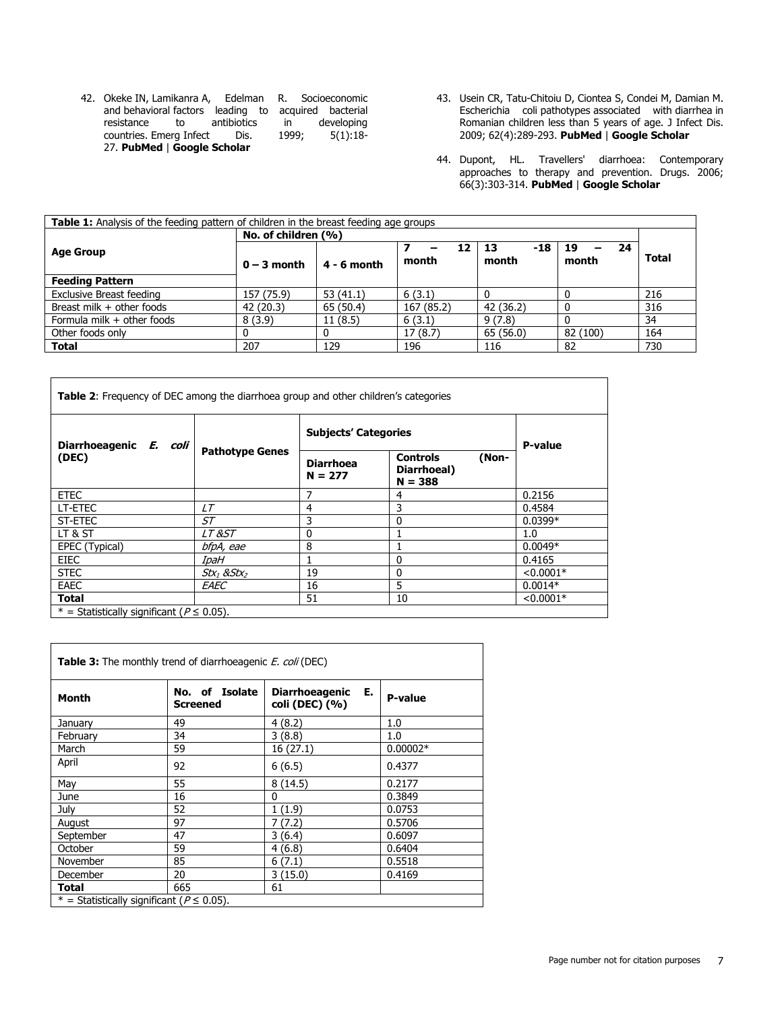- 42. Okeke IN, Lamikanra A, Edelman R. Socioeconomic and behavioral factors leading to acquired bacterial resistance to antibiotics in developing<br>countries Emerg Infect Dis. 1999; 5(1):18countries. Emerg Infect Dis. 27. **[PubMed](http://www.ncbi.nlm.nih.gov/entrez/query.fcgi?db=PubMed&cmd=Search&doptcmdl=Citation&defaultField=Title+Word&term=Okeke%20IN%5bauthor%5d+AND+Socioeconomic+and+behavioral+factors+leading+to+acquired+bacterial+resistance+to+antibiotics+in+developing+countries)** | **[Google Scholar](http://scholar.google.com/scholar?hl=en&q=+Socioeconomic+and+behavioral+factors+leading+to+acquired+bacterial+resistance+to+antibiotics+in+developing+countries)**
- 43. Usein CR, Tatu-Chitoiu D, Ciontea S, Condei M, Damian M. Escherichia coli pathotypes associated with diarrhea in Romanian children less than 5 years of age. J Infect Dis. 2009; 62(4):289-293. **[PubMed](http://www.ncbi.nlm.nih.gov/entrez/query.fcgi?db=PubMed&cmd=Search&doptcmdl=Citation&defaultField=Title+Word&term=Usein%20CR%5bauthor%5d+AND+Escherichia+coli+pathotypes+associated+with+diarrhea+in+Romanian+children+less+than+5+years+of+age)** | **[Google Scholar](http://scholar.google.com/scholar?hl=en&q=+Escherichia+coli+pathotypes+associated+with+diarrhea+in+Romanian+children+less+than+5+years+of+age)**
- 44. Dupont, HL. Travellers' diarrhoea: Contemporary approaches to therapy and prevention. Drugs. 2006; 66(3):303-314. **[PubMed](http://www.ncbi.nlm.nih.gov/entrez/query.fcgi?db=PubMed&cmd=Search&doptcmdl=Citation&defaultField=Title+Word&term=Dupont%5bauthor%5d+AND+Travellers+diarrhoea:+Contemporary+approaches+to+therapy+and+prevention)** | **[Google Scholar](http://scholar.google.com/scholar?hl=en&q=+Travellers+diarrhoea:+Contemporary+approaches+to+therapy+and+prevention)**

| <b>Table 1:</b> Analysis of the feeding pattern of children in the breast feeding age groups |                     |               |             |                    |                        |              |
|----------------------------------------------------------------------------------------------|---------------------|---------------|-------------|--------------------|------------------------|--------------|
|                                                                                              | No. of children (%) |               |             |                    |                        |              |
| <b>Age Group</b>                                                                             | $0 - 3$ month       | $4 - 6$ month | 12<br>month | -18<br>13<br>month | 24<br>19<br>-<br>month | <b>Total</b> |
| <b>Feeding Pattern</b>                                                                       |                     |               |             |                    |                        |              |
| <b>Exclusive Breast feeding</b>                                                              | 157 (75.9)          | 53(41.1)      | 6(3.1)      |                    |                        | 216          |
| Breast milk + other foods                                                                    | 42 (20.3)           | 65(50.4)      | 167 (85.2)  | 42 (36.2)          |                        | 316          |
| Formula milk + other foods                                                                   | 8(3.9)              | 11(8.5)       | 6(3.1)      | 9(7.8)             |                        | 34           |
| Other foods only                                                                             |                     |               | 17(8.7)     | 65(56.0)           | 82 (100)               | 164          |
| <b>Total</b>                                                                                 | 207                 | 129           | 196         | 116                | 82                     | 730          |

| <b>Table 2:</b> Frequency of DEC among the diarrhoea group and other children's categories |                        |                               |                                                      |             |  |
|--------------------------------------------------------------------------------------------|------------------------|-------------------------------|------------------------------------------------------|-------------|--|
| Diarrhoeagenic E. coli<br>(DEC)                                                            | <b>Pathotype Genes</b> | <b>Subjects' Categories</b>   | P-value                                              |             |  |
|                                                                                            |                        | <b>Diarrhoea</b><br>$N = 277$ | <b>Controls</b><br>(Non-<br>Diarrhoeal)<br>$N = 388$ |             |  |
| <b>ETEC</b>                                                                                |                        | 7                             | 4                                                    | 0.2156      |  |
| LT-ETEC                                                                                    | LТ                     | 4                             | 3                                                    | 0.4584      |  |
| ST-ETEC                                                                                    | ST                     | 3                             | $\mathbf{0}$                                         | $0.0399*$   |  |
| LT & ST                                                                                    | <i>LT &amp;ST</i>      | 0                             |                                                      | 1.0         |  |
| EPEC (Typical)                                                                             | bfpA, eae              | 8                             |                                                      | $0.0049*$   |  |
| <b>EIEC</b>                                                                                | IpaH                   |                               | $\mathbf{0}$                                         | 0.4165      |  |
| <b>STEC</b>                                                                                | $Stx_1$ & $Stx_2$      | 19                            | $\mathbf{0}$                                         | $< 0.0001*$ |  |
| EAEC                                                                                       | EAEC                   | 16                            | 5                                                    | $0.0014*$   |  |
| Total                                                                                      |                        | 51                            | 10                                                   | $< 0.0001*$ |  |
| * = Statistically significant ( $P \le 0.05$ ).                                            |                        |                               |                                                      |             |  |

| <b>Table 3:</b> The monthly trend of diarrhoeagenic <i>E. coli</i> (DEC) |                                   |                                               |            |  |  |
|--------------------------------------------------------------------------|-----------------------------------|-----------------------------------------------|------------|--|--|
| Month                                                                    | No. of Isolate<br><b>Screened</b> | E.<br><b>Diarrhoeagenic</b><br>coli (DEC) (%) | P-value    |  |  |
| January                                                                  | 49                                | 4(8.2)                                        | 1.0        |  |  |
| February                                                                 | 34                                | 3(8.8)                                        | 1.0        |  |  |
| March                                                                    | 59                                | 16 (27.1)                                     | $0.00002*$ |  |  |
| April                                                                    | 92                                | 6(6.5)                                        | 0.4377     |  |  |
| May                                                                      | 55                                | 8(14.5)                                       | 0.2177     |  |  |
| June                                                                     | 16                                | $\mathbf{0}$                                  | 0.3849     |  |  |
| July                                                                     | 52                                | 1(1.9)                                        | 0.0753     |  |  |
| August                                                                   | 97                                | 7 (7.2)                                       | 0.5706     |  |  |
| September                                                                | 47                                | 3(6.4)                                        | 0.6097     |  |  |
| October                                                                  | 59                                | 4(6.8)                                        | 0.6404     |  |  |
| November                                                                 | 85                                | 6(7.1)                                        | 0.5518     |  |  |
| December                                                                 | 20                                | 3(15.0)                                       | 0.4169     |  |  |
| Total                                                                    | 665                               | 61                                            |            |  |  |
| * = Statistically significant ( $P \le 0.05$ ).                          |                                   |                                               |            |  |  |